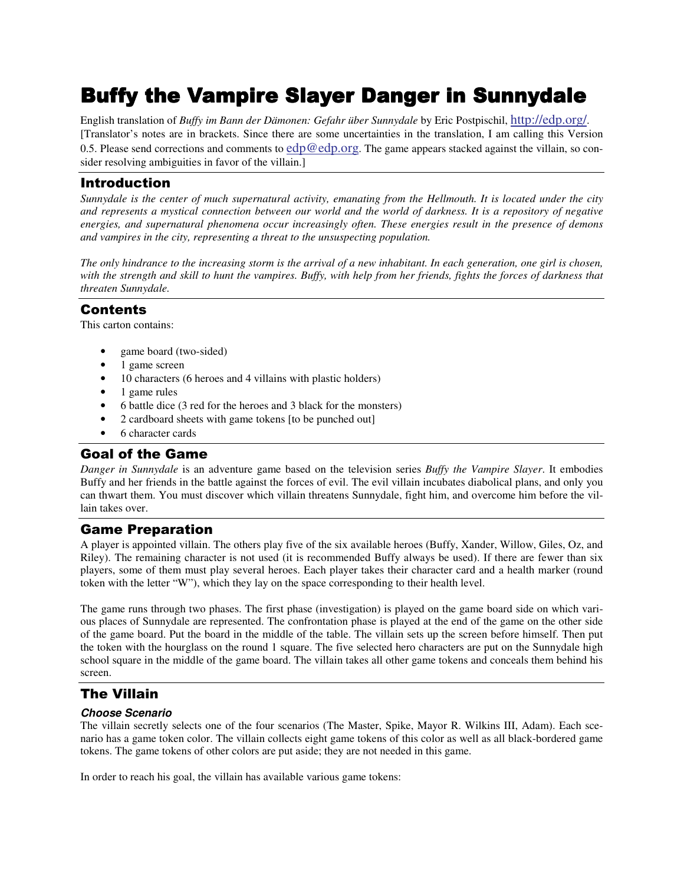English translation of *Buffy im Bann der Dämonen: Gefahr über Sunnydale* by Eric Postpischil, http://edp.org/. [Translator's notes are in brackets. Since there are some uncertainties in the translation, I am calling this Version 0.5. Please send corrections and comments to  $edp@edp.org$ . The game appears stacked against the villain, so consider resolving ambiguities in favor of the villain.]

# **Introduction**

Sunnydale is the center of much supernatural activity, emanating from the Hellmouth. It is located under the city and represents a mystical connection between our world and the world of darkness. It is a repository of negative *energies, and supernatural phenomena occur increasingly often. These energies result in the presence of demons and vampires in the city, representing a threat to the unsuspecting population.*

The only hindrance to the increasing storm is the arrival of a new inhabitant. In each generation, one girl is chosen, with the strength and skill to hunt the vampires. Buffy, with help from her friends, fights the forces of darkness that *threaten Sunnydale.*

## **Contents**

This carton contains:

- game board (two-sided)
- 1 game screen
- 10 characters (6 heroes and 4 villains with plastic holders)
- 1 game rules
- 6 battle dice (3 red for the heroes and 3 black for the monsters)
- 2 cardboard sheets with game tokens [to be punched out]
- 6 character cards

# **Goal of the Game**

*Danger in Sunnydale* is an adventure game based on the television series *Buffy the Vampire Slayer*. It embodies Buffy and her friends in the battle against the forces of evil. The evil villain incubates diabolical plans, and only you can thwart them. You must discover which villain threatens Sunnydale, fight him, and overcome him before the villain takes over.

# **Game Preparation**

A player is appointed villain. The others play five of the six available heroes (Buffy, Xander, Willow, Giles, Oz, and Riley). The remaining character is not used (it is recommended Buffy always be used). If there are fewer than six players, some of them must play several heroes. Each player takes their character card and a health marker (round token with the letter "W"), which they lay on the space corresponding to their health level.

The game runs through two phases. The first phase (investigation) is played on the game board side on which various places of Sunnydale are represented. The confrontation phase is played at the end of the game on the other side of the game board. Put the board in the middle of the table. The villain sets up the screen before himself. Then put the token with the hourglass on the round 1 square. The five selected hero characters are put on the Sunnydale high school square in the middle of the game board. The villain takes all other game tokens and conceals them behind his screen.

# The Villain

## *Choose Scenario*

The villain secretly selects one of the four scenarios (The Master, Spike, Mayor R. Wilkins III, Adam). Each scenario has a game token color. The villain collects eight game tokens of this color as well as all black-bordered game tokens. The game tokens of other colors are put aside; they are not needed in this game.

In order to reach his goal, the villain has available various game tokens: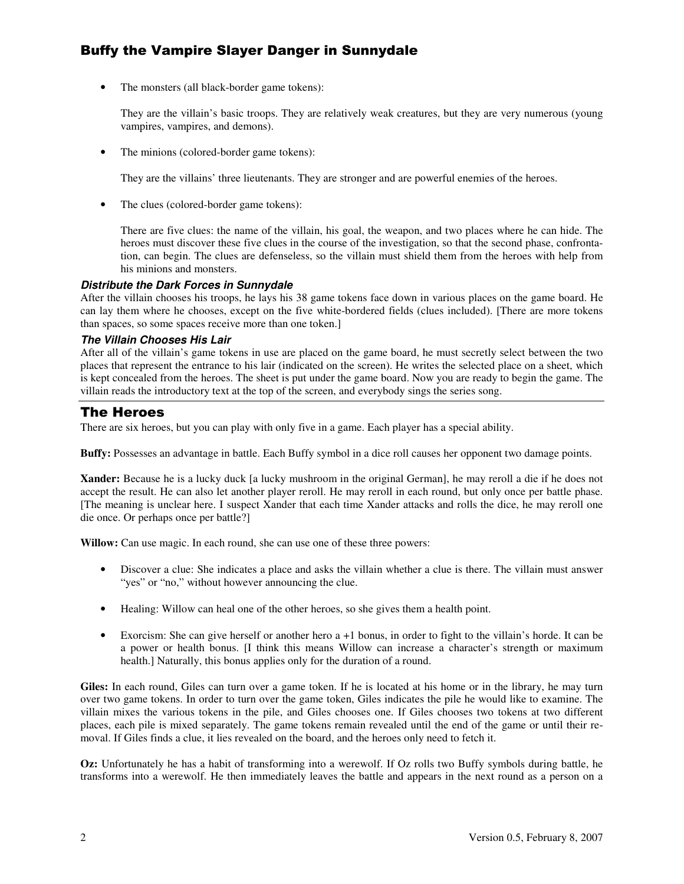• The monsters (all black-border game tokens):

They are the villain's basic troops. They are relatively weak creatures, but they are very numerous (young vampires, vampires, and demons).

• The minions (colored-border game tokens):

They are the villains' three lieutenants. They are stronger and are powerful enemies of the heroes.

The clues (colored-border game tokens):

There are five clues: the name of the villain, his goal, the weapon, and two places where he can hide. The heroes must discover these five clues in the course of the investigation, so that the second phase, confrontation, can begin. The clues are defenseless, so the villain must shield them from the heroes with help from his minions and monsters.

#### *Distribute the Dark Forces in Sunnydale*

After the villain chooses his troops, he lays his 38 game tokens face down in various places on the game board. He can lay them where he chooses, except on the five white-bordered fields (clues included). [There are more tokens than spaces, so some spaces receive more than one token.]

#### *The Villain Chooses His Lair*

After all of the villain's game tokens in use are placed on the game board, he must secretly select between the two places that represent the entrance to his lair (indicated on the screen). He writes the selected place on a sheet, which is kept concealed from the heroes. The sheet is put under the game board. Now you are ready to begin the game. The villain reads the introductory text at the top of the screen, and everybody sings the series song.

# **The Heroes**

There are six heroes, but you can play with only five in a game. Each player has a special ability.

**Buffy:** Possesses an advantage in battle. Each Buffy symbol in a dice roll causes her opponent two damage points.

**Xander:** Because he is a lucky duck [a lucky mushroom in the original German], he may reroll a die if he does not accept the result. He can also let another player reroll. He may reroll in each round, but only once per battle phase. [The meaning is unclear here. I suspect Xander that each time Xander attacks and rolls the dice, he may reroll one die once. Or perhaps once per battle?]

**Willow:** Can use magic. In each round, she can use one of these three powers:

- Discover a clue: She indicates a place and asks the villain whether a clue is there. The villain must answer "yes" or "no," without however announcing the clue.
- Healing: Willow can heal one of the other heroes, so she gives them a health point.
- Exorcism: She can give herself or another hero a +1 bonus, in order to fight to the villain's horde. It can be a power or health bonus. [I think this means Willow can increase a character's strength or maximum health.] Naturally, this bonus applies only for the duration of a round.

**Giles:** In each round, Giles can turn over a game token. If he is located at his home or in the library, he may turn over two game tokens. In order to turn over the game token, Giles indicates the pile he would like to examine. The villain mixes the various tokens in the pile, and Giles chooses one. If Giles chooses two tokens at two different places, each pile is mixed separately. The game tokens remain revealed until the end of the game or until their removal. If Giles finds a clue, it lies revealed on the board, and the heroes only need to fetch it.

**Oz:** Unfortunately he has a habit of transforming into a werewolf. If Oz rolls two Buffy symbols during battle, he transforms into a werewolf. He then immediately leaves the battle and appears in the next round as a person on a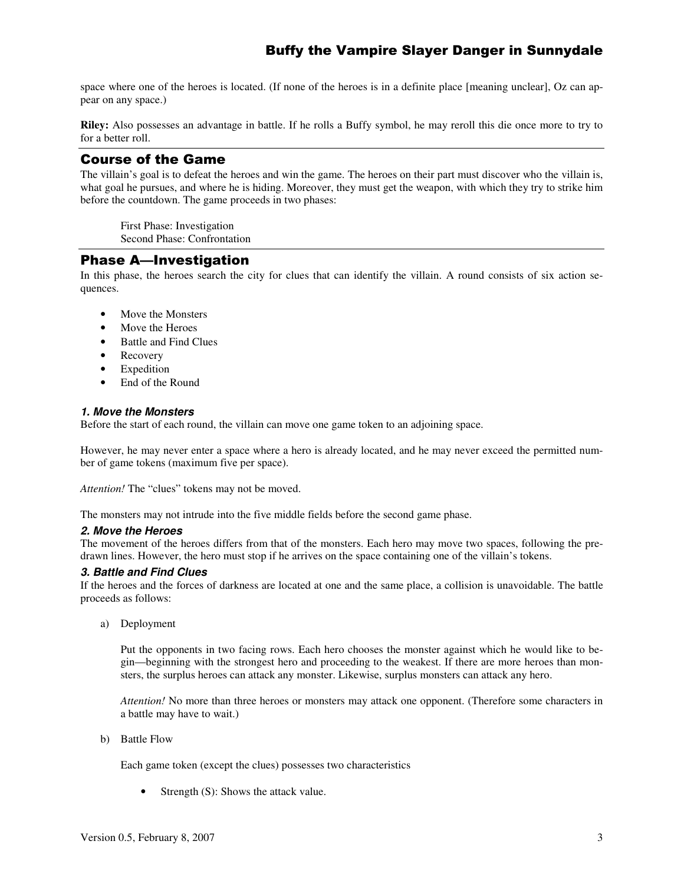space where one of the heroes is located. (If none of the heroes is in a definite place [meaning unclear], Oz can appear on any space.)

**Riley:** Also possesses an advantage in battle. If he rolls a Buffy symbol, he may reroll this die once more to try to for a better roll.

# **Course of the Game**

The villain's goal is to defeat the heroes and win the game. The heroes on their part must discover who the villain is, what goal he pursues, and where he is hiding. Moreover, they must get the weapon, with which they try to strike him before the countdown. The game proceeds in two phases:

First Phase: Investigation Second Phase: Confrontation

# **Phase A—Investigation**

In this phase, the heroes search the city for clues that can identify the villain. A round consists of six action sequences.

- Move the Monsters
- Move the Heroes
- Battle and Find Clues
- Recovery
- **Expedition**
- End of the Round

#### *1. Move the Monsters*

Before the start of each round, the villain can move one game token to an adjoining space.

However, he may never enter a space where a hero is already located, and he may never exceed the permitted number of game tokens (maximum five per space).

*Attention!* The "clues" tokens may not be moved.

The monsters may not intrude into the five middle fields before the second game phase.

#### *2. Move the Heroes*

The movement of the heroes differs from that of the monsters. Each hero may move two spaces, following the predrawn lines. However, the hero must stop if he arrives on the space containing one of the villain's tokens.

#### *3. Battle and Find Clues*

If the heroes and the forces of darkness are located at one and the same place, a collision is unavoidable. The battle proceeds as follows:

a) Deployment

Put the opponents in two facing rows. Each hero chooses the monster against which he would like to begin—beginning with the strongest hero and proceeding to the weakest. If there are more heroes than monsters, the surplus heroes can attack any monster. Likewise, surplus monsters can attack any hero.

*Attention!* No more than three heroes or monsters may attack one opponent. (Therefore some characters in a battle may have to wait.)

b) Battle Flow

Each game token (except the clues) possesses two characteristics

• Strength (S): Shows the attack value.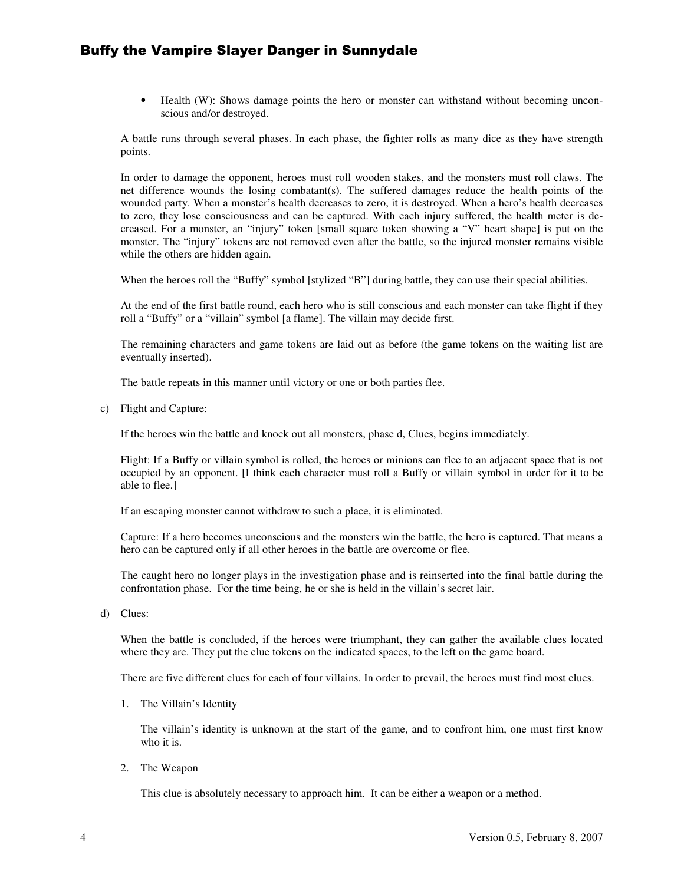• Health (W): Shows damage points the hero or monster can withstand without becoming unconscious and/or destroyed.

A battle runs through several phases. In each phase, the fighter rolls as many dice as they have strength points.

In order to damage the opponent, heroes must roll wooden stakes, and the monsters must roll claws. The net difference wounds the losing combatant(s). The suffered damages reduce the health points of the wounded party. When a monster's health decreases to zero, it is destroyed. When a hero's health decreases to zero, they lose consciousness and can be captured. With each injury suffered, the health meter is decreased. For a monster, an "injury" token [small square token showing a "V" heart shape] is put on the monster. The "injury" tokens are not removed even after the battle, so the injured monster remains visible while the others are hidden again.

When the heroes roll the "Buffy" symbol [stylized "B"] during battle, they can use their special abilities.

At the end of the first battle round, each hero who is still conscious and each monster can take flight if they roll a "Buffy" or a "villain" symbol [a flame]. The villain may decide first.

The remaining characters and game tokens are laid out as before (the game tokens on the waiting list are eventually inserted).

The battle repeats in this manner until victory or one or both parties flee.

c) Flight and Capture:

If the heroes win the battle and knock out all monsters, phase d, Clues, begins immediately.

Flight: If a Buffy or villain symbol is rolled, the heroes or minions can flee to an adjacent space that is not occupied by an opponent. [I think each character must roll a Buffy or villain symbol in order for it to be able to flee.]

If an escaping monster cannot withdraw to such a place, it is eliminated.

Capture: If a hero becomes unconscious and the monsters win the battle, the hero is captured. That means a hero can be captured only if all other heroes in the battle are overcome or flee.

The caught hero no longer plays in the investigation phase and is reinserted into the final battle during the confrontation phase. For the time being, he or she is held in the villain's secret lair.

d) Clues:

When the battle is concluded, if the heroes were triumphant, they can gather the available clues located where they are. They put the clue tokens on the indicated spaces, to the left on the game board.

There are five different clues for each of four villains. In order to prevail, the heroes must find most clues.

1. The Villain's Identity

The villain's identity is unknown at the start of the game, and to confront him, one must first know who it is.

2. The Weapon

This clue is absolutely necessary to approach him. It can be either a weapon or a method.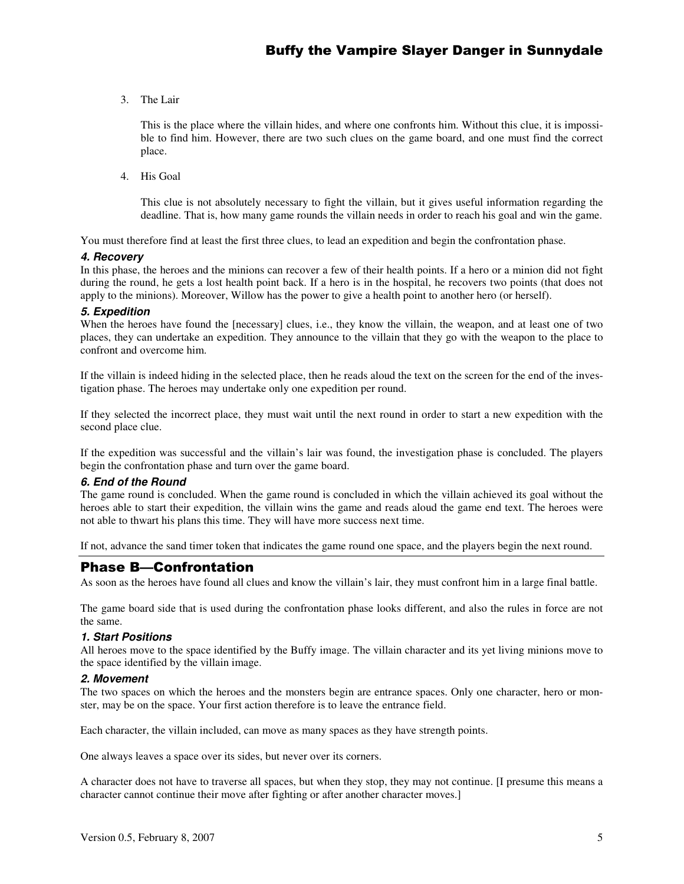3. The Lair

This is the place where the villain hides, and where one confronts him. Without this clue, it is impossible to find him. However, there are two such clues on the game board, and one must find the correct place.

4. His Goal

This clue is not absolutely necessary to fight the villain, but it gives useful information regarding the deadline. That is, how many game rounds the villain needs in order to reach his goal and win the game.

You must therefore find at least the first three clues, to lead an expedition and begin the confrontation phase.

#### *4. Recovery*

In this phase, the heroes and the minions can recover a few of their health points. If a hero or a minion did not fight during the round, he gets a lost health point back. If a hero is in the hospital, he recovers two points (that does not apply to the minions). Moreover, Willow has the power to give a health point to another hero (or herself).

#### *5. Expedition*

When the heroes have found the [necessary] clues, i.e., they know the villain, the weapon, and at least one of two places, they can undertake an expedition. They announce to the villain that they go with the weapon to the place to confront and overcome him.

If the villain is indeed hiding in the selected place, then he reads aloud the text on the screen for the end of the investigation phase. The heroes may undertake only one expedition per round.

If they selected the incorrect place, they must wait until the next round in order to start a new expedition with the second place clue.

If the expedition was successful and the villain's lair was found, the investigation phase is concluded. The players begin the confrontation phase and turn over the game board.

#### *6. End of the Round*

The game round is concluded. When the game round is concluded in which the villain achieved its goal without the heroes able to start their expedition, the villain wins the game and reads aloud the game end text. The heroes were not able to thwart his plans this time. They will have more success next time.

If not, advance the sand timer token that indicates the game round one space, and the players begin the next round.

# **Phase B—Confrontation**

As soon as the heroes have found all clues and know the villain's lair, they must confront him in a large final battle.

The game board side that is used during the confrontation phase looks different, and also the rules in force are not the same.

#### *1. Start Positions*

All heroes move to the space identified by the Buffy image. The villain character and its yet living minions move to the space identified by the villain image.

#### *2. Movement*

The two spaces on which the heroes and the monsters begin are entrance spaces. Only one character, hero or monster, may be on the space. Your first action therefore is to leave the entrance field.

Each character, the villain included, can move as many spaces as they have strength points.

One always leaves a space over its sides, but never over its corners.

A character does not have to traverse all spaces, but when they stop, they may not continue. [I presume this means a character cannot continue their move after fighting or after another character moves.]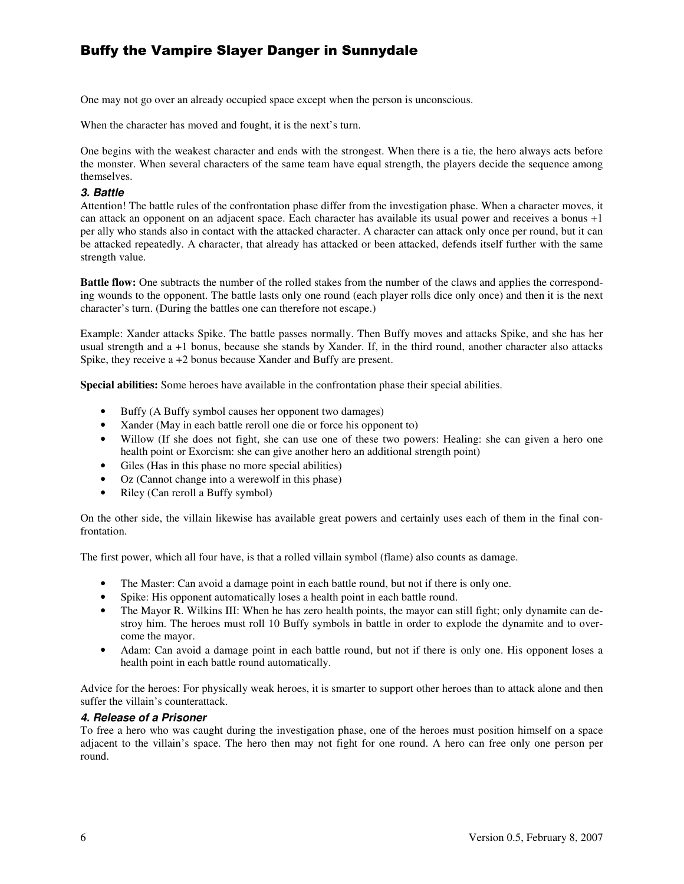One may not go over an already occupied space except when the person is unconscious.

When the character has moved and fought, it is the next's turn.

One begins with the weakest character and ends with the strongest. When there is a tie, the hero always acts before the monster. When several characters of the same team have equal strength, the players decide the sequence among themselves.

#### *3. Battle*

Attention! The battle rules of the confrontation phase differ from the investigation phase. When a character moves, it can attack an opponent on an adjacent space. Each character has available its usual power and receives a bonus +1 per ally who stands also in contact with the attacked character. A character can attack only once per round, but it can be attacked repeatedly. A character, that already has attacked or been attacked, defends itself further with the same strength value.

**Battle flow:** One subtracts the number of the rolled stakes from the number of the claws and applies the corresponding wounds to the opponent. The battle lasts only one round (each player rolls dice only once) and then it is the next character's turn. (During the battles one can therefore not escape.)

Example: Xander attacks Spike. The battle passes normally. Then Buffy moves and attacks Spike, and she has her usual strength and a +1 bonus, because she stands by Xander. If, in the third round, another character also attacks Spike, they receive a +2 bonus because Xander and Buffy are present.

**Special abilities:** Some heroes have available in the confrontation phase their special abilities.

- Buffy (A Buffy symbol causes her opponent two damages)
- Xander (May in each battle reroll one die or force his opponent to)
- Willow (If she does not fight, she can use one of these two powers: Healing: she can given a hero one health point or Exorcism: she can give another hero an additional strength point)
- Giles (Has in this phase no more special abilities)
- Oz (Cannot change into a werewolf in this phase)
- Riley (Can reroll a Buffy symbol)

On the other side, the villain likewise has available great powers and certainly uses each of them in the final confrontation.

The first power, which all four have, is that a rolled villain symbol (flame) also counts as damage.

- The Master: Can avoid a damage point in each battle round, but not if there is only one.
- Spike: His opponent automatically loses a health point in each battle round.
- The Mayor R. Wilkins III: When he has zero health points, the mayor can still fight; only dynamite can destroy him. The heroes must roll 10 Buffy symbols in battle in order to explode the dynamite and to overcome the mayor.
- Adam: Can avoid a damage point in each battle round, but not if there is only one. His opponent loses a health point in each battle round automatically.

Advice for the heroes: For physically weak heroes, it is smarter to support other heroes than to attack alone and then suffer the villain's counterattack.

#### *4. Release of a Prisoner*

To free a hero who was caught during the investigation phase, one of the heroes must position himself on a space adjacent to the villain's space. The hero then may not fight for one round. A hero can free only one person per round.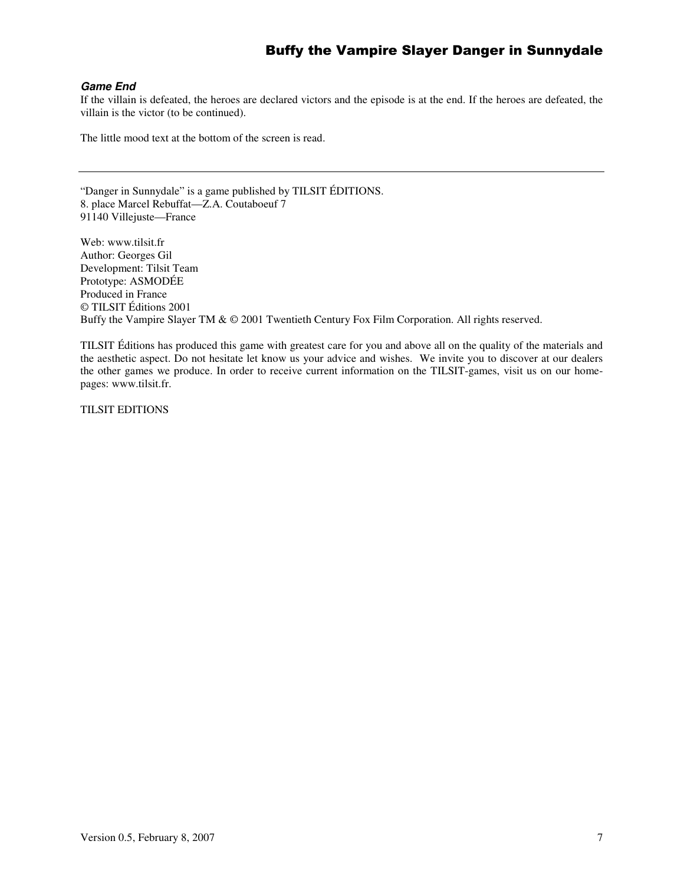#### *Game End*

If the villain is defeated, the heroes are declared victors and the episode is at the end. If the heroes are defeated, the villain is the victor (to be continued).

The little mood text at the bottom of the screen is read.

"Danger in Sunnydale" is a game published by TILSIT ÉDITIONS. 8. place Marcel Rebuffat—Z.A. Coutaboeuf 7 91140 Villejuste—France

Web: www.tilsit.fr Author: Georges Gil Development: Tilsit Team Prototype: ASMODÉE Produced in France © TILSIT Éditions 2001 Buffy the Vampire Slayer TM & © 2001 Twentieth Century Fox Film Corporation. All rights reserved.

TILSIT Éditions has produced this game with greatest care for you and above all on the quality of the materials and the aesthetic aspect. Do not hesitate let know us your advice and wishes. We invite you to discover at our dealers the other games we produce. In order to receive current information on the TILSIT-games, visit us on our homepages: www.tilsit.fr.

TILSIT EDITIONS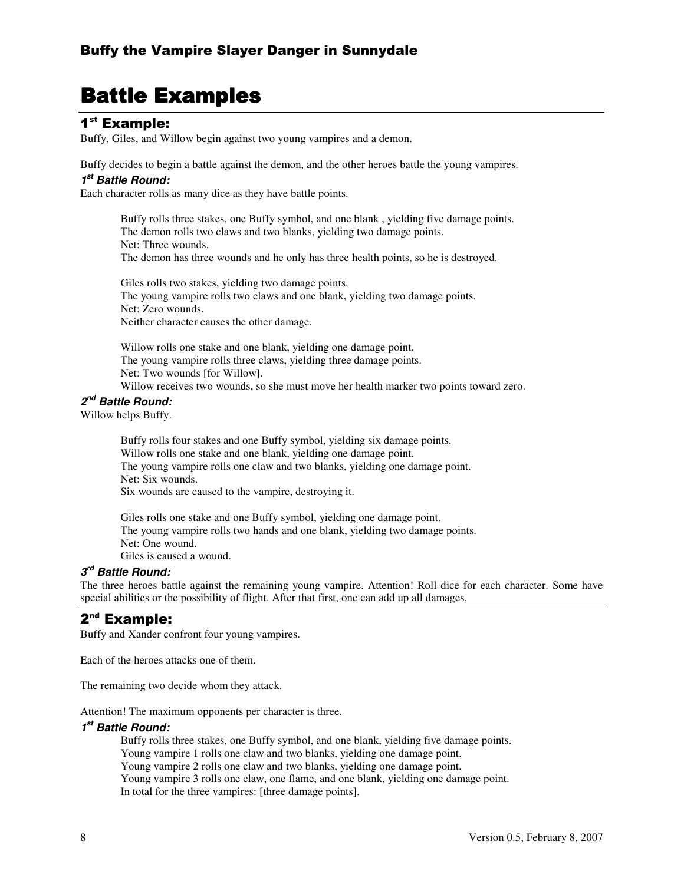# **Battle Examples**

# 1<sup>st</sup> Example:

Buffy, Giles, and Willow begin against two young vampires and a demon.

Buffy decides to begin a battle against the demon, and the other heroes battle the young vampires.

## *1 st Battle Round:*

Each character rolls as many dice as they have battle points.

Buffy rolls three stakes, one Buffy symbol, and one blank , yielding five damage points. The demon rolls two claws and two blanks, yielding two damage points. Net: Three wounds. The demon has three wounds and he only has three health points, so he is destroyed.

Giles rolls two stakes, yielding two damage points. The young vampire rolls two claws and one blank, yielding two damage points. Net: Zero wounds. Neither character causes the other damage.

Willow rolls one stake and one blank, yielding one damage point. The young vampire rolls three claws, yielding three damage points. Net: Two wounds [for Willow]. Willow receives two wounds, so she must move her health marker two points toward zero.

# *2 nd Battle Round:*

Willow helps Buffy.

Buffy rolls four stakes and one Buffy symbol, yielding six damage points. Willow rolls one stake and one blank, yielding one damage point. The young vampire rolls one claw and two blanks, yielding one damage point. Net: Six wounds. Six wounds are caused to the vampire, destroying it.

Giles rolls one stake and one Buffy symbol, yielding one damage point. The young vampire rolls two hands and one blank, yielding two damage points. Net: One wound. Giles is caused a wound.

# *3 rd Battle Round:*

The three heroes battle against the remaining young vampire. Attention! Roll dice for each character. Some have special abilities or the possibility of flight. After that first, one can add up all damages.

# 2"<sup>d</sup> Example:

Buffy and Xander confront four young vampires.

Each of the heroes attacks one of them.

The remaining two decide whom they attack.

Attention! The maximum opponents per character is three.

## *1 st Battle Round:*

Buffy rolls three stakes, one Buffy symbol, and one blank, yielding five damage points. Young vampire 1 rolls one claw and two blanks, yielding one damage point. Young vampire 2 rolls one claw and two blanks, yielding one damage point. Young vampire 3 rolls one claw, one flame, and one blank, yielding one damage point. In total for the three vampires: [three damage points].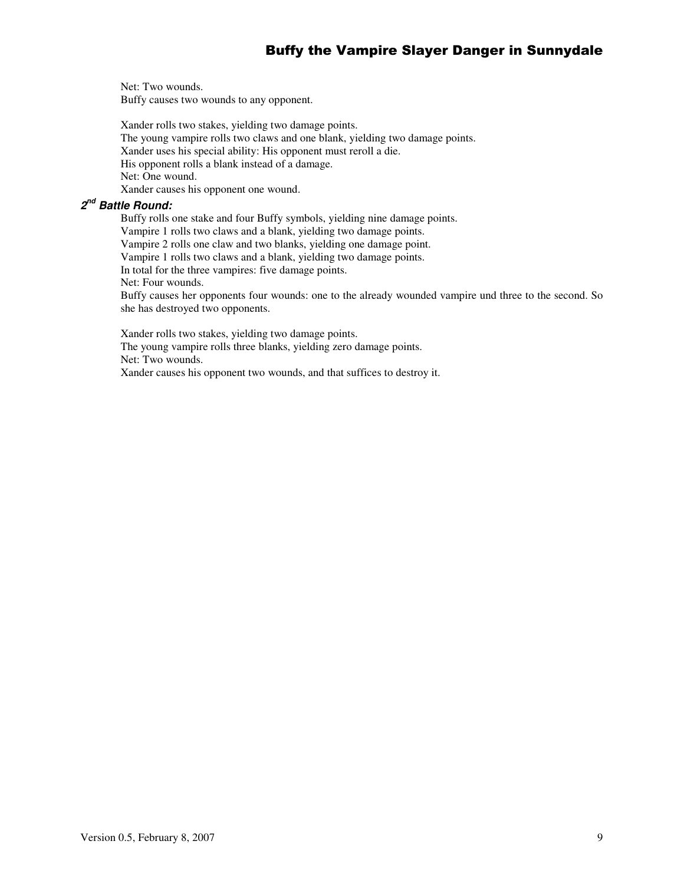Net: Two wounds. Buffy causes two wounds to any opponent.

Xander rolls two stakes, yielding two damage points. The young vampire rolls two claws and one blank, yielding two damage points. Xander uses his special ability: His opponent must reroll a die. His opponent rolls a blank instead of a damage. Net: One wound. Xander causes his opponent one wound.

# *2 nd Battle Round:*

Buffy rolls one stake and four Buffy symbols, yielding nine damage points.

Vampire 1 rolls two claws and a blank, yielding two damage points.

Vampire 2 rolls one claw and two blanks, yielding one damage point.

Vampire 1 rolls two claws and a blank, yielding two damage points.

In total for the three vampires: five damage points.

Net: Four wounds.

Buffy causes her opponents four wounds: one to the already wounded vampire und three to the second. So she has destroyed two opponents.

Xander rolls two stakes, yielding two damage points. The young vampire rolls three blanks, yielding zero damage points. Net: Two wounds. Xander causes his opponent two wounds, and that suffices to destroy it.

Version 0.5, February 8, 2007 9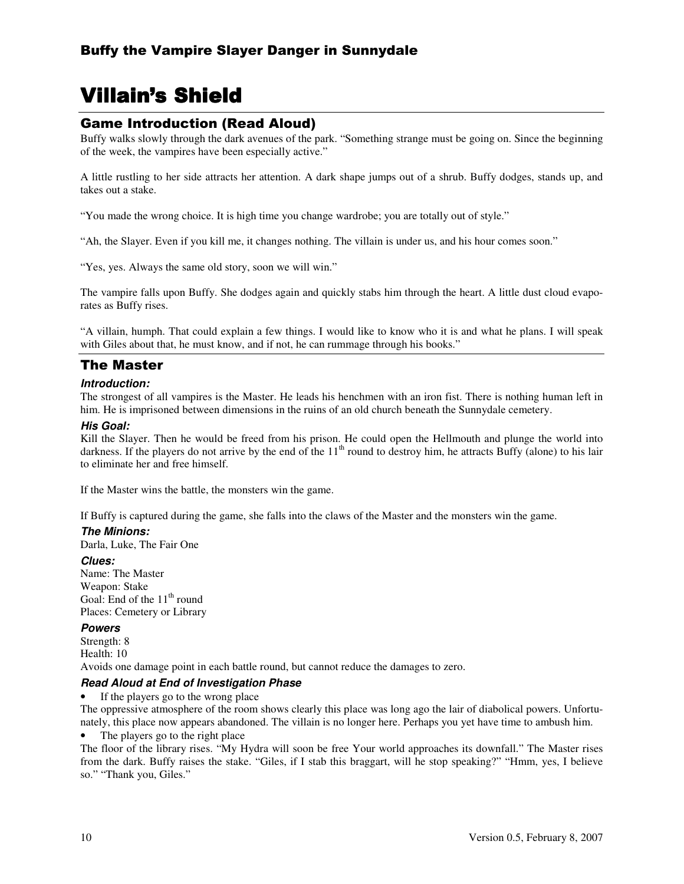# Villain's Shield

# **Game Introduction (Read Aloud)**

Buffy walks slowly through the dark avenues of the park. "Something strange must be going on. Since the beginning of the week, the vampires have been especially active."

A little rustling to her side attracts her attention. A dark shape jumps out of a shrub. Buffy dodges, stands up, and takes out a stake.

"You made the wrong choice. It is high time you change wardrobe; you are totally out of style."

"Ah, the Slayer. Even if you kill me, it changes nothing. The villain is under us, and his hour comes soon."

"Yes, yes. Always the same old story, soon we will win."

The vampire falls upon Buffy. She dodges again and quickly stabs him through the heart. A little dust cloud evaporates as Buffy rises.

"A villain, humph. That could explain a few things. I would like to know who it is and what he plans. I will speak with Giles about that, he must know, and if not, he can rummage through his books."

# The Master

#### *Introduction:*

The strongest of all vampires is the Master. He leads his henchmen with an iron fist. There is nothing human left in him. He is imprisoned between dimensions in the ruins of an old church beneath the Sunnydale cemetery.

#### *His Goal:*

Kill the Slayer. Then he would be freed from his prison. He could open the Hellmouth and plunge the world into darkness. If the players do not arrive by the end of the 11<sup>th</sup> round to destroy him, he attracts Buffy (alone) to his lair to eliminate her and free himself.

If the Master wins the battle, the monsters win the game.

If Buffy is captured during the game, she falls into the claws of the Master and the monsters win the game.

#### *The Minions:*

Darla, Luke, The Fair One

#### *Clues:*

Name: The Master Weapon: Stake Goal: End of the 11<sup>th</sup> round Places: Cemetery or Library

#### *Powers*

Strength: 8 Health: 10 Avoids one damage point in each battle round, but cannot reduce the damages to zero.

#### *Read Aloud at End of Investigation Phase*

• If the players go to the wrong place

The oppressive atmosphere of the room shows clearly this place was long ago the lair of diabolical powers. Unfortunately, this place now appears abandoned. The villain is no longer here. Perhaps you yet have time to ambush him.

#### The players go to the right place

The floor of the library rises. "My Hydra will soon be free Your world approaches its downfall." The Master rises from the dark. Buffy raises the stake. "Giles, if I stab this braggart, will he stop speaking?" "Hmm, yes, I believe so." "Thank you, Giles."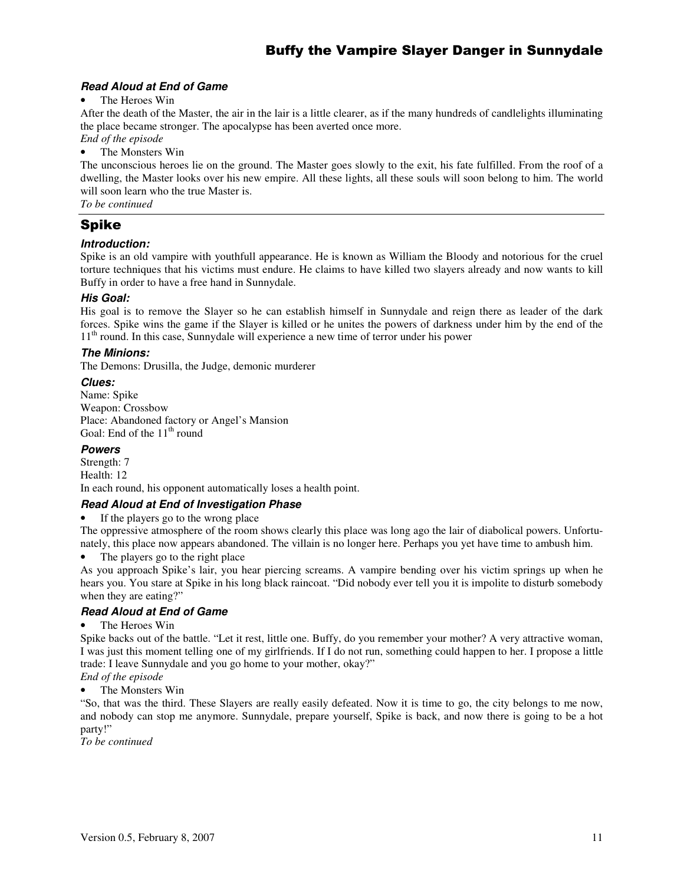## *Read Aloud at End of Game*

#### The Heroes Win

After the death of the Master, the air in the lair is a little clearer, as if the many hundreds of candlelights illuminating the place became stronger. The apocalypse has been averted once more.

*End of the episode* The Monsters Win

The unconscious heroes lie on the ground. The Master goes slowly to the exit, his fate fulfilled. From the roof of a dwelling, the Master looks over his new empire. All these lights, all these souls will soon belong to him. The world will soon learn who the true Master is.

*To be continued*

# Spike

## *Introduction:*

Spike is an old vampire with youthfull appearance. He is known as William the Bloody and notorious for the cruel torture techniques that his victims must endure. He claims to have killed two slayers already and now wants to kill Buffy in order to have a free hand in Sunnydale.

## *His Goal:*

His goal is to remove the Slayer so he can establish himself in Sunnydale and reign there as leader of the dark forces. Spike wins the game if the Slayer is killed or he unites the powers of darkness under him by the end of the 11<sup>th</sup> round. In this case, Sunnydale will experience a new time of terror under his power

## *The Minions:*

The Demons: Drusilla, the Judge, demonic murderer

#### *Clues:*

Name: Spike Weapon: Crossbow Place: Abandoned factory or Angel's Mansion Goal: End of the 11<sup>th</sup> round

#### *Powers*

Strength: 7 Health: 12 In each round, his opponent automatically loses a health point.

## *Read Aloud at End of Investigation Phase*

If the players go to the wrong place

The oppressive atmosphere of the room shows clearly this place was long ago the lair of diabolical powers. Unfortunately, this place now appears abandoned. The villain is no longer here. Perhaps you yet have time to ambush him.

• The players go to the right place

As you approach Spike's lair, you hear piercing screams. A vampire bending over his victim springs up when he hears you. You stare at Spike in his long black raincoat. "Did nobody ever tell you it is impolite to disturb somebody when they are eating?"

## *Read Aloud at End of Game*

#### The Heroes Win

Spike backs out of the battle. "Let it rest, little one. Buffy, do you remember your mother? A very attractive woman, I was just this moment telling one of my girlfriends. If I do not run, something could happen to her. I propose a little trade: I leave Sunnydale and you go home to your mother, okay?"

*End of the episode* • The Monsters Win

"So, that was the third. These Slayers are really easily defeated. Now it is time to go, the city belongs to me now, and nobody can stop me anymore. Sunnydale, prepare yourself, Spike is back, and now there is going to be a hot party!"

*To be continued*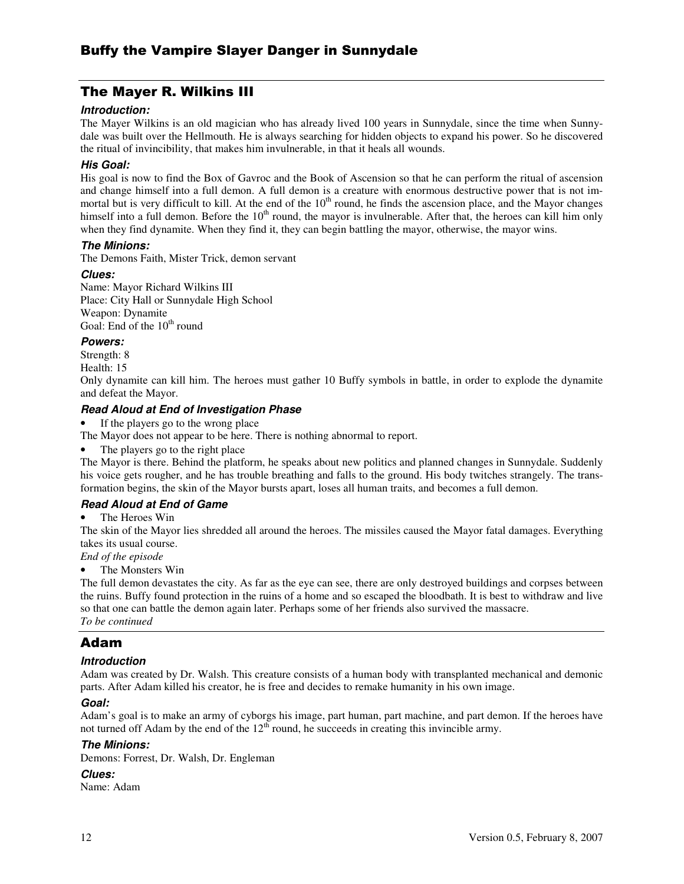# The Mayer R. Wilkins III

#### *Introduction:*

The Mayer Wilkins is an old magician who has already lived 100 years in Sunnydale, since the time when Sunnydale was built over the Hellmouth. He is always searching for hidden objects to expand his power. So he discovered the ritual of invincibility, that makes him invulnerable, in that it heals all wounds.

#### *His Goal:*

His goal is now to find the Box of Gavroc and the Book of Ascension so that he can perform the ritual of ascension and change himself into a full demon. A full demon is a creature with enormous destructive power that is not immortal but is very difficult to kill. At the end of the  $10<sup>th</sup>$  round, he finds the ascension place, and the Mayor changes himself into a full demon. Before the  $10<sup>th</sup>$  round, the mayor is invulnerable. After that, the heroes can kill him only when they find dynamite. When they find it, they can begin battling the mayor, otherwise, the mayor wins.

#### *The Minions:*

The Demons Faith, Mister Trick, demon servant

#### *Clues:*

Name: Mayor Richard Wilkins III Place: City Hall or Sunnydale High School Weapon: Dynamite Goal: End of the 10<sup>th</sup> round

#### *Powers:*

Strength: 8

Health: 15

Only dynamite can kill him. The heroes must gather 10 Buffy symbols in battle, in order to explode the dynamite and defeat the Mayor.

#### *Read Aloud at End of Investigation Phase*

If the players go to the wrong place

The Mayor does not appear to be here. There is nothing abnormal to report.

The players go to the right place

The Mayor is there. Behind the platform, he speaks about new politics and planned changes in Sunnydale. Suddenly his voice gets rougher, and he has trouble breathing and falls to the ground. His body twitches strangely. The transformation begins, the skin of the Mayor bursts apart, loses all human traits, and becomes a full demon.

## *Read Aloud at End of Game*

The Heroes Win

The skin of the Mayor lies shredded all around the heroes. The missiles caused the Mayor fatal damages. Everything takes its usual course.

#### *End of the episode*

#### The Monsters Win

The full demon devastates the city. As far as the eye can see, there are only destroyed buildings and corpses between the ruins. Buffy found protection in the ruins of a home and so escaped the bloodbath. It is best to withdraw and live so that one can battle the demon again later. Perhaps some of her friends also survived the massacre. *To be continued*

# Adam

#### *Introduction*

Adam was created by Dr. Walsh. This creature consists of a human body with transplanted mechanical and demonic parts. After Adam killed his creator, he is free and decides to remake humanity in his own image.

#### *Goal:*

Adam's goal is to make an army of cyborgs his image, part human, part machine, and part demon. If the heroes have not turned off Adam by the end of the  $12<sup>th</sup>$  round, he succeeds in creating this invincible army.

### *The Minions:*

Demons: Forrest, Dr. Walsh, Dr. Engleman

#### *Clues:*

Name: Adam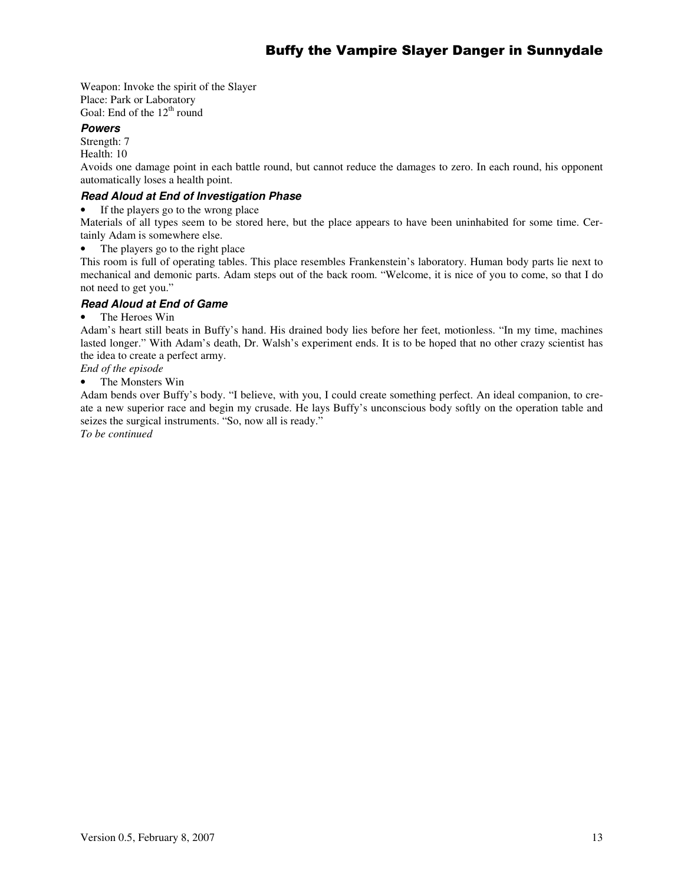Weapon: Invoke the spirit of the Slayer Place: Park or Laboratory Goal: End of the 12<sup>th</sup> round

# *Powers*

Strength: 7

Health: 10

Avoids one damage point in each battle round, but cannot reduce the damages to zero. In each round, his opponent automatically loses a health point.

# *Read Aloud at End of Investigation Phase*

If the players go to the wrong place

Materials of all types seem to be stored here, but the place appears to have been uninhabited for some time. Certainly Adam is somewhere else.

• The players go to the right place

This room is full of operating tables. This place resembles Frankenstein's laboratory. Human body parts lie next to mechanical and demonic parts. Adam steps out of the back room. "Welcome, it is nice of you to come, so that I do not need to get you."

# *Read Aloud at End of Game*

#### • The Heroes Win

Adam's heart still beats in Buffy's hand. His drained body lies before her feet, motionless. "In my time, machines lasted longer." With Adam's death, Dr. Walsh's experiment ends. It is to be hoped that no other crazy scientist has the idea to create a perfect army.

## *End of the episode*

The Monsters Win

Adam bends over Buffy's body. "I believe, with you, I could create something perfect. An ideal companion, to create a new superior race and begin my crusade. He lays Buffy's unconscious body softly on the operation table and seizes the surgical instruments. "So, now all is ready."

*To be continued*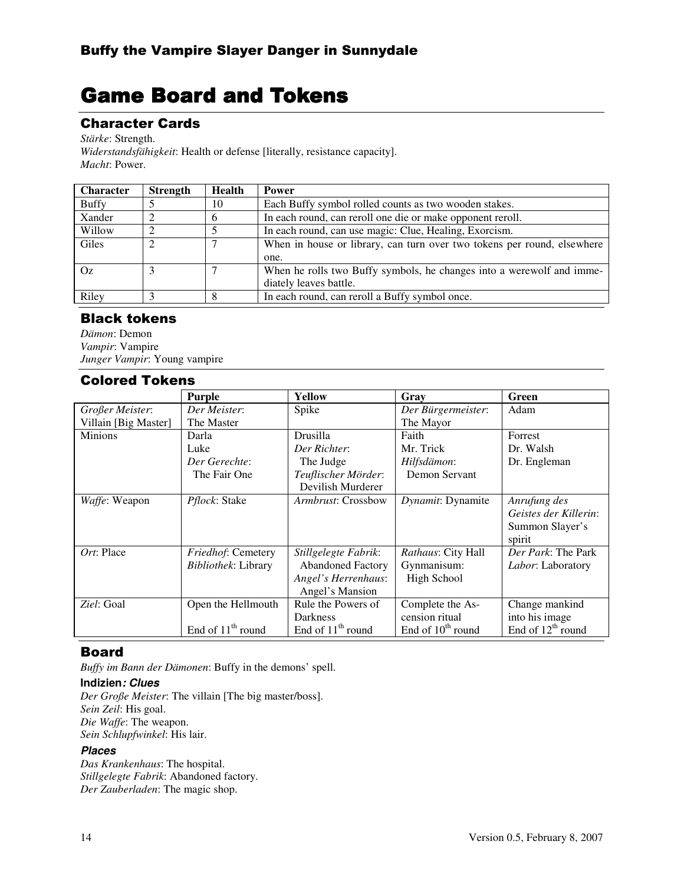# **Game Board and Tokens**

# **Character Cards**

*Stärke*: Strength.

*Widerstandsfähigkeit*: Health or defense [literally, resistance capacity]. *Macht*: Power.

| <b>Character</b> | <b>Strength</b> | Health | <b>Power</b>                                                            |  |  |
|------------------|-----------------|--------|-------------------------------------------------------------------------|--|--|
| <b>Buffy</b>     |                 | 10     | Each Buffy symbol rolled counts as two wooden stakes.                   |  |  |
| Xander           |                 |        | In each round, can reroll one die or make opponent reroll.              |  |  |
| Willow           |                 |        | In each round, can use magic: Clue, Healing, Exorcism.                  |  |  |
| Giles            |                 |        | When in house or library, can turn over two tokens per round, elsewhere |  |  |
|                  |                 |        | one.                                                                    |  |  |
| Oz.              |                 |        | When he rolls two Buffy symbols, he changes into a werewolf and imme-   |  |  |
|                  |                 |        | diately leaves battle.                                                  |  |  |
| Riley            |                 |        | In each round, can reroll a Buffy symbol once.                          |  |  |

# **Black tokens**

*Dämon*: Demon *Vampir*: Vampire *Junger Vampir*: Young vampire

# **Colored Tokens**

|                      | Purple                     | <b>Yellow</b>            | Gray                          | Green                 |
|----------------------|----------------------------|--------------------------|-------------------------------|-----------------------|
| Großer Meister:      | Der Meister:               | Spike                    | Der Bürgermeister:            | Adam                  |
| Villain [Big Master] | The Master                 |                          | The Mayor                     |                       |
| <b>Minions</b>       | Darla                      | Drusilla                 | Faith                         | Forrest               |
|                      | Luke                       | Der Richter:             | Mr. Trick                     | Dr. Walsh             |
|                      | Der Gerechte:              | The Judge                | Hilfsdämon:                   | Dr. Engleman          |
|                      | The Fair One               | Teuflischer Mörder:      | Demon Servant                 |                       |
|                      |                            | Devilish Murderer        |                               |                       |
| Waffe: Weapon        | Pflock: Stake              | Armbrust: Crossbow       | Dynamit: Dynamite             | Anrufung des          |
|                      |                            |                          |                               | Geistes der Killerin: |
|                      |                            |                          |                               | Summon Slayer's       |
|                      |                            |                          |                               | spirit                |
| Ort: Place           | Friedhof: Cemetery         | Stillgelegte Fabrik:     | Rathaus: City Hall            | Der Park: The Park    |
|                      | <i>Bibliothek: Library</i> | <b>Abandoned Factory</b> | Gynmanisum:                   | Labor: Laboratory     |
|                      |                            | Angel's Herrenhaus:      | High School                   |                       |
|                      |                            | Angel's Mansion          |                               |                       |
| Ziel: Goal           | Open the Hellmouth         | Rule the Powers of       | Complete the As-              | Change mankind        |
|                      |                            | <b>Darkness</b>          | cension ritual                | into his image        |
|                      | End of $11th$ round        | End of $11th$ round      | End of 10 <sup>th</sup> round | End of $12th$ round   |

# **Board**

*Buffy im Bann der Dämonen*: Buffy in the demons' spell.

## **Indizien***: Clues*

*Der Große Meister*: The villain [The big master/boss]. *Sein Zeil*: His goal. *Die Waffe*: The weapon. *Sein Schlupfwinkel*: His lair.

## *Places*

*Das Krankenhaus*: The hospital. *Stillgelegte Fabrik*: Abandoned factory. *Der Zauberladen*: The magic shop.